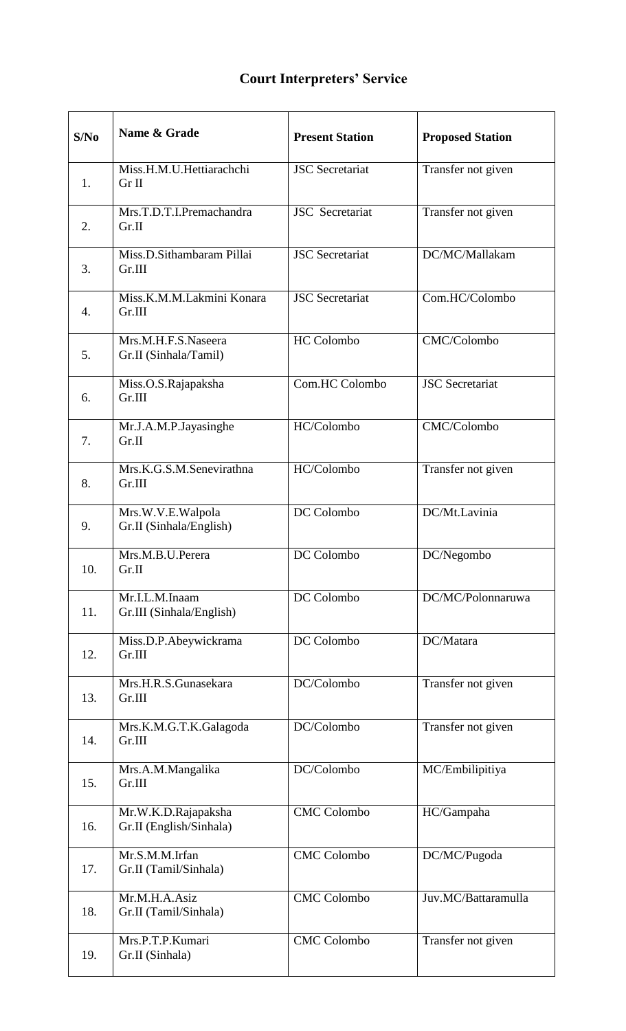## **Court Interpreters' Service**

| S/No | Name & Grade                                   | <b>Present Station</b> | <b>Proposed Station</b> |
|------|------------------------------------------------|------------------------|-------------------------|
| 1.   | Miss.H.M.U.Hettiarachchi<br>Gr II              | <b>JSC</b> Secretariat | Transfer not given      |
| 2.   | Mrs.T.D.T.I.Premachandra<br>Gr.II              | <b>JSC</b> Secretariat | Transfer not given      |
| 3.   | Miss.D.Sithambaram Pillai<br>Gr.III            | <b>JSC</b> Secretariat | DC/MC/Mallakam          |
| 4.   | Miss.K.M.M.Lakmini Konara<br>Gr.III            | <b>JSC</b> Secretariat | Com.HC/Colombo          |
| 5.   | Mrs.M.H.F.S.Naseera<br>Gr.II (Sinhala/Tamil)   | <b>HC</b> Colombo      | CMC/Colombo             |
| 6.   | Miss.O.S.Rajapaksha<br>Gr.III                  | Com.HC Colombo         | <b>JSC</b> Secretariat  |
| 7.   | Mr.J.A.M.P.Jayasinghe<br>Gr.II                 | HC/Colombo             | CMC/Colombo             |
| 8.   | Mrs.K.G.S.M.Senevirathna<br>Gr.III             | HC/Colombo             | Transfer not given      |
| 9.   | Mrs.W.V.E.Walpola<br>Gr.II (Sinhala/English)   | DC Colombo             | DC/Mt.Lavinia           |
| 10.  | Mrs.M.B.U.Perera<br>Gr.II                      | DC Colombo             | DC/Negombo              |
| 11.  | Mr.I.L.M.Inaam<br>Gr.III (Sinhala/English)     | DC Colombo             | DC/MC/Polonnaruwa       |
| 12.  | Miss.D.P.Abeywickrama<br>Gr.III                | DC Colombo             | DC/Matara               |
| 13.  | Mrs.H.R.S.Gunasekara<br>Gr.III                 | DC/Colombo             | Transfer not given      |
| 14.  | Mrs.K.M.G.T.K.Galagoda<br>Gr.III               | DC/Colombo             | Transfer not given      |
| 15.  | Mrs.A.M.Mangalika<br>Gr.III                    | DC/Colombo             | MC/Embilipitiya         |
| 16.  | Mr.W.K.D.Rajapaksha<br>Gr.II (English/Sinhala) | <b>CMC</b> Colombo     | HC/Gampaha              |
| 17.  | Mr.S.M.M.Irfan<br>Gr.II (Tamil/Sinhala)        | <b>CMC</b> Colombo     | DC/MC/Pugoda            |
| 18.  | Mr.M.H.A.Asiz<br>Gr.II (Tamil/Sinhala)         | <b>CMC</b> Colombo     | Juv.MC/Battaramulla     |
| 19.  | Mrs.P.T.P.Kumari<br>Gr.II (Sinhala)            | <b>CMC Colombo</b>     | Transfer not given      |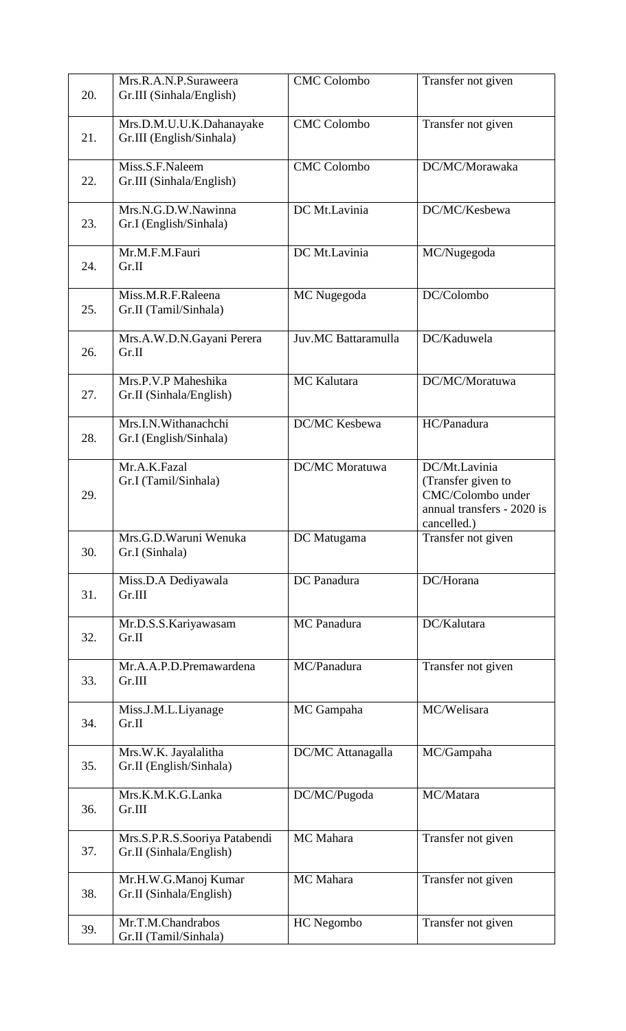| 20. | Mrs.R.A.N.P.Suraweera<br>Gr.III (Sinhala/English)        | <b>CMC</b> Colombo    | Transfer not given                                                                                    |
|-----|----------------------------------------------------------|-----------------------|-------------------------------------------------------------------------------------------------------|
| 21. | Mrs.D.M.U.U.K.Dahanayake<br>Gr.III (English/Sinhala)     | <b>CMC</b> Colombo    | Transfer not given                                                                                    |
| 22. | Miss.S.F.Naleem<br>Gr.III (Sinhala/English)              | <b>CMC</b> Colombo    | DC/MC/Morawaka                                                                                        |
| 23. | Mrs.N.G.D.W.Nawinna<br>Gr.I (English/Sinhala)            | DC Mt.Lavinia         | DC/MC/Kesbewa                                                                                         |
| 24. | Mr.M.F.M.Fauri<br>Gr.II                                  | DC Mt.Lavinia         | MC/Nugegoda                                                                                           |
| 25. | Miss.M.R.F.Raleena<br>Gr.II (Tamil/Sinhala)              | MC Nugegoda           | DC/Colombo                                                                                            |
| 26. | Mrs.A.W.D.N.Gayani Perera<br>Gr.II                       | Juv.MC Battaramulla   | DC/Kaduwela                                                                                           |
| 27. | Mrs.P.V.P Maheshika<br>Gr.II (Sinhala/English)           | MC Kalutara           | DC/MC/Moratuwa                                                                                        |
| 28. | Mrs.I.N.Withanachchi<br>Gr.I (English/Sinhala)           | DC/MC Kesbewa         | HC/Panadura                                                                                           |
| 29. | Mr.A.K.Fazal<br>Gr.I (Tamil/Sinhala)                     | <b>DC/MC</b> Moratuwa | DC/Mt.Lavinia<br>(Transfer given to<br>CMC/Colombo under<br>annual transfers - 2020 is<br>cancelled.) |
| 30. | Mrs.G.D.Waruni Wenuka<br>Gr.I (Sinhala)                  | DC Matugama           | Transfer not given                                                                                    |
| 31. | Miss.D.A Dediyawala<br>Gr.III                            | DC Panadura           | DC/Horana                                                                                             |
| 32. | Mr.D.S.S.Kariyawasam<br>Gr.II                            | MC Panadura           | DC/Kalutara                                                                                           |
| 33. | Mr.A.A.P.D.Premawardena<br>Gr.III                        | MC/Panadura           | Transfer not given                                                                                    |
| 34. | Miss.J.M.L.Liyanage<br>Gr.II                             | MC Gampaha            | MC/Welisara                                                                                           |
| 35. | Mrs.W.K. Jayalalitha<br>Gr.II (English/Sinhala)          | DC/MC Attanagalla     | MC/Gampaha                                                                                            |
| 36. | Mrs.K.M.K.G.Lanka<br>Gr.III                              | DC/MC/Pugoda          | MC/Matara                                                                                             |
| 37. | Mrs.S.P.R.S.Sooriya Patabendi<br>Gr.II (Sinhala/English) | MC Mahara             | Transfer not given                                                                                    |
| 38. | Mr.H.W.G.Manoj Kumar<br>Gr.II (Sinhala/English)          | MC Mahara             | Transfer not given                                                                                    |
| 39. | Mr.T.M.Chandrabos<br>Gr.II (Tamil/Sinhala)               | HC Negombo            | Transfer not given                                                                                    |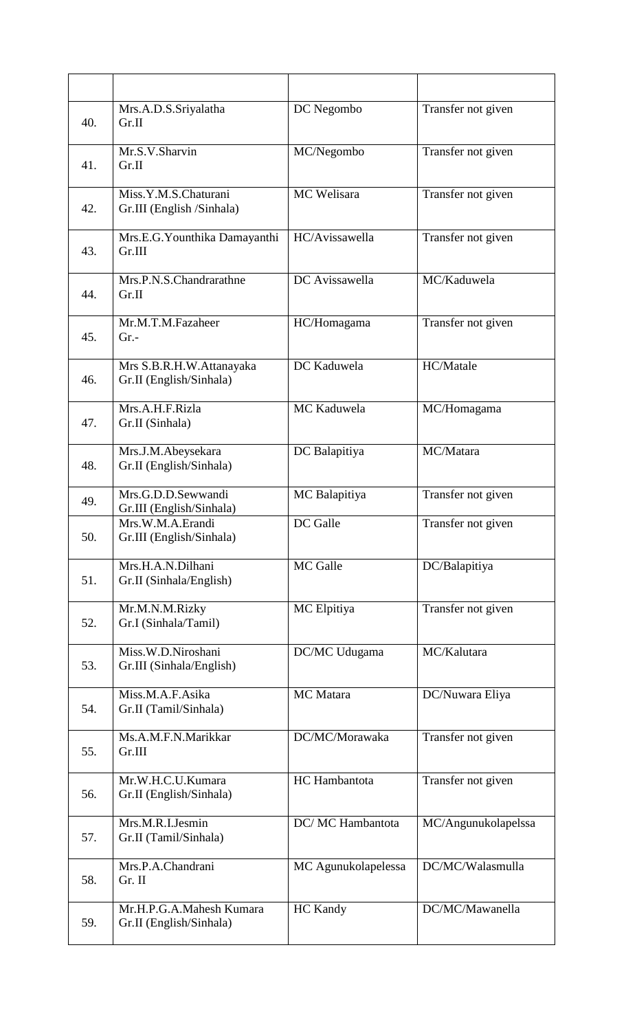| 40. | Mrs.A.D.S.Sriyalatha<br>Gr.II                       | DC Negombo          | Transfer not given  |
|-----|-----------------------------------------------------|---------------------|---------------------|
| 41. | Mr.S.V.Sharvin<br>Gr.II                             | MC/Negombo          | Transfer not given  |
| 42. | Miss.Y.M.S.Chaturani<br>Gr.III (English /Sinhala)   | MC Welisara         | Transfer not given  |
| 43. | Mrs.E.G.Younthika Damayanthi<br>Gr.III              | HC/Avissawella      | Transfer not given  |
| 44. | Mrs.P.N.S.Chandrarathne<br>Gr.II                    | DC Avissawella      | MC/Kaduwela         |
| 45. | Mr.M.T.M.Fazaheer<br>$Gr. -$                        | HC/Homagama         | Transfer not given  |
| 46. | Mrs S.B.R.H.W.Attanayaka<br>Gr.II (English/Sinhala) | DC Kaduwela         | HC/Matale           |
| 47. | Mrs.A.H.F.Rizla<br>Gr.II (Sinhala)                  | MC Kaduwela         | MC/Homagama         |
| 48. | Mrs.J.M.Abeysekara<br>Gr.II (English/Sinhala)       | DC Balapitiya       | MC/Matara           |
| 49. | Mrs.G.D.D.Sewwandi<br>Gr.III (English/Sinhala)      | MC Balapitiya       | Transfer not given  |
| 50. | Mrs.W.M.A.Erandi<br>Gr.III (English/Sinhala)        | DC Galle            | Transfer not given  |
| 51. | Mrs.H.A.N.Dilhani<br>Gr.II (Sinhala/English)        | MC Galle            | DC/Balapitiya       |
| 52. | Mr.M.N.M.Rizky<br>Gr.I (Sinhala/Tamil)              | MC Elpitiya         | Transfer not given  |
| 53. | Miss.W.D.Niroshani<br>Gr.III (Sinhala/English)      | DC/MC Udugama       | MC/Kalutara         |
| 54. | Miss.M.A.F.Asika<br>Gr.II (Tamil/Sinhala)           | MC Matara           | DC/Nuwara Eliya     |
| 55. | Ms.A.M.F.N.Marikkar<br>Gr.III                       | DC/MC/Morawaka      | Transfer not given  |
| 56. | Mr.W.H.C.U.Kumara<br>Gr.II (English/Sinhala)        | HC Hambantota       | Transfer not given  |
| 57. | Mrs.M.R.I.Jesmin<br>Gr.II (Tamil/Sinhala)           | DC/MC Hambantota    | MC/Angunukolapelssa |
| 58. | Mrs.P.A.Chandrani<br>Gr. II                         | MC Agunukolapelessa | DC/MC/Walasmulla    |
| 59. | Mr.H.P.G.A.Mahesh Kumara<br>Gr.II (English/Sinhala) | <b>HC</b> Kandy     | DC/MC/Mawanella     |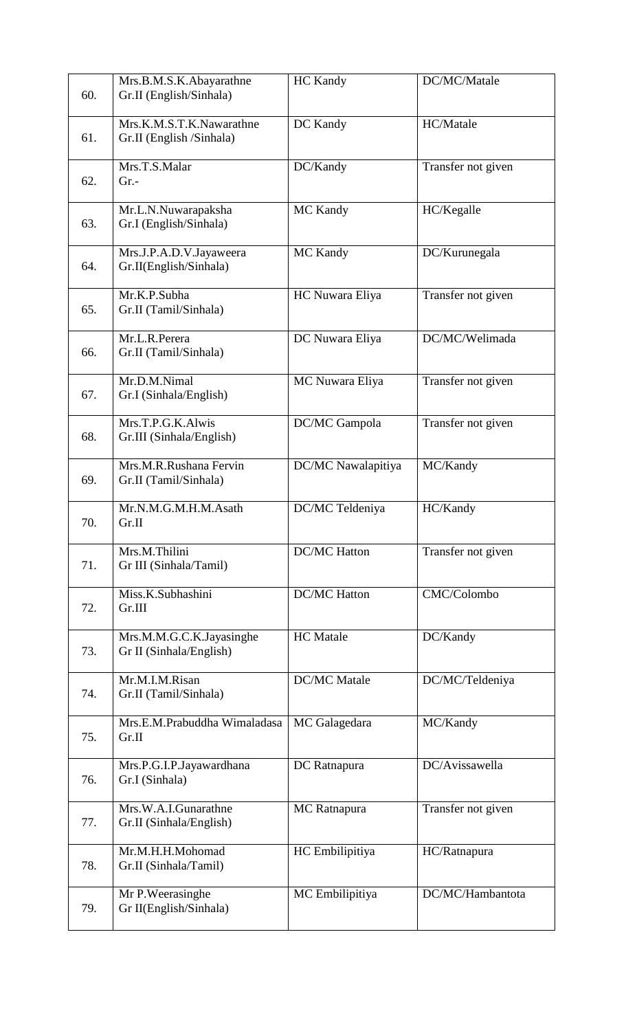| 60. | Mrs.B.M.S.K.Abayarathne<br>Gr.II (English/Sinhala)   | <b>HC</b> Kandy     | DC/MC/Matale       |
|-----|------------------------------------------------------|---------------------|--------------------|
| 61. | Mrs.K.M.S.T.K.Nawarathne<br>Gr.II (English /Sinhala) | DC Kandy            | HC/Matale          |
| 62. | Mrs.T.S.Malar<br>$Gr. -$                             | DC/Kandy            | Transfer not given |
| 63. | Mr.L.N.Nuwarapaksha<br>Gr.I (English/Sinhala)        | <b>MC Kandy</b>     | HC/Kegalle         |
| 64. | Mrs.J.P.A.D.V.Jayaweera<br>Gr.II(English/Sinhala)    | <b>MC Kandy</b>     | DC/Kurunegala      |
| 65. | Mr.K.P.Subha<br>Gr.II (Tamil/Sinhala)                | HC Nuwara Eliya     | Transfer not given |
| 66. | Mr.L.R.Perera<br>Gr.II (Tamil/Sinhala)               | DC Nuwara Eliya     | DC/MC/Welimada     |
| 67. | Mr.D.M.Nimal<br>Gr.I (Sinhala/English)               | MC Nuwara Eliya     | Transfer not given |
| 68. | Mrs.T.P.G.K.Alwis<br>Gr.III (Sinhala/English)        | DC/MC Gampola       | Transfer not given |
| 69. | Mrs.M.R.Rushana Fervin<br>Gr.II (Tamil/Sinhala)      | DC/MC Nawalapitiya  | MC/Kandy           |
| 70. | Mr.N.M.G.M.H.M.Asath<br>Gr.II                        | DC/MC Teldeniya     | HC/Kandy           |
| 71. | Mrs.M.Thilini<br>Gr III (Sinhala/Tamil)              | <b>DC/MC Hatton</b> | Transfer not given |
| 72. | Miss.K.Subhashini<br>Gr.III                          | <b>DC/MC</b> Hatton | CMC/Colombo        |
| 73. | Mrs.M.M.G.C.K.Jayasinghe<br>Gr II (Sinhala/English)  | <b>HC</b> Matale    | DC/Kandy           |
| 74. | Mr.M.I.M.Risan<br>Gr.II (Tamil/Sinhala)              | <b>DC/MC</b> Matale | DC/MC/Teldeniya    |
| 75. | Mrs.E.M.Prabuddha Wimaladasa<br>Gr.II                | MC Galagedara       | MC/Kandy           |
| 76. | Mrs.P.G.I.P.Jayawardhana<br>Gr.I (Sinhala)           | DC Ratnapura        | DC/Avissawella     |
| 77. | Mrs.W.A.I.Gunarathne<br>Gr.II (Sinhala/English)      | MC Ratnapura        | Transfer not given |
| 78. | Mr.M.H.H.Mohomad<br>Gr.II (Sinhala/Tamil)            | HC Embilipitiya     | HC/Ratnapura       |
| 79. | Mr P. Weerasinghe<br>Gr II(English/Sinhala)          | MC Embilipitiya     | DC/MC/Hambantota   |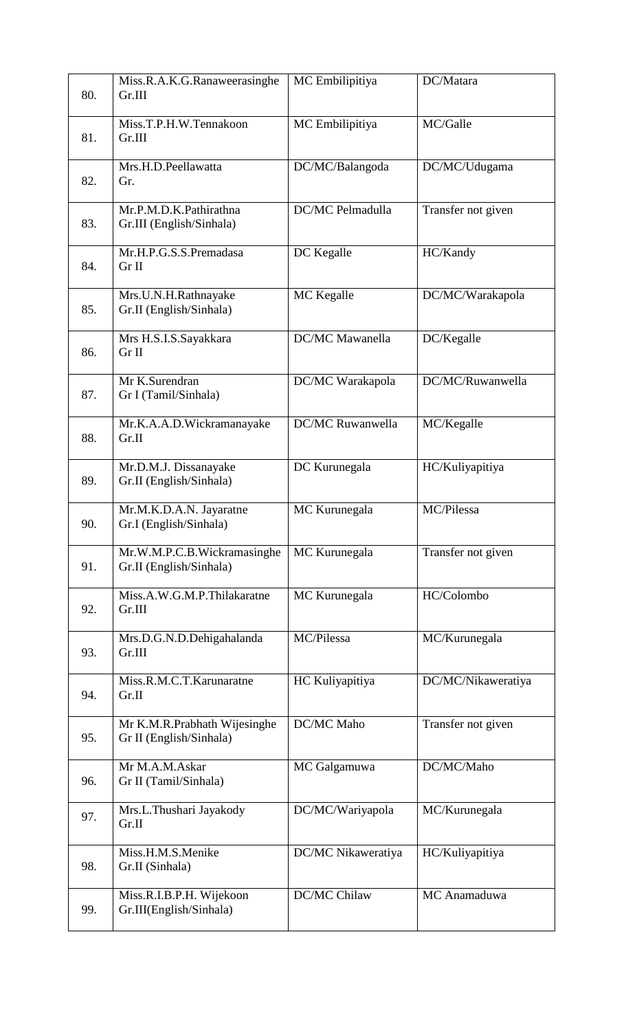| 80. | Miss.R.A.K.G.Ranaweerasinghe<br>Gr.III                  | MC Embilipitiya     | DC/Matara          |
|-----|---------------------------------------------------------|---------------------|--------------------|
| 81. | Miss.T.P.H.W.Tennakoon<br>Gr.III                        | MC Embilipitiya     | MC/Galle           |
| 82. | Mrs.H.D.Peellawatta<br>Gr.                              | DC/MC/Balangoda     | DC/MC/Udugama      |
| 83. | Mr.P.M.D.K.Pathirathna<br>Gr.III (English/Sinhala)      | DC/MC Pelmadulla    | Transfer not given |
| 84. | Mr.H.P.G.S.S.Premadasa<br>Gr II                         | DC Kegalle          | HC/Kandy           |
| 85. | Mrs.U.N.H.Rathnayake<br>Gr.II (English/Sinhala)         | MC Kegalle          | DC/MC/Warakapola   |
| 86. | Mrs H.S.I.S.Sayakkara<br>Gr II                          | DC/MC Mawanella     | DC/Kegalle         |
| 87. | Mr K.Surendran<br>Gr I (Tamil/Sinhala)                  | DC/MC Warakapola    | DC/MC/Ruwanwella   |
| 88. | Mr.K.A.A.D.Wickramanayake<br>Gr.II                      | DC/MC Ruwanwella    | MC/Kegalle         |
| 89. | Mr.D.M.J. Dissanayake<br>Gr.II (English/Sinhala)        | DC Kurunegala       | HC/Kuliyapitiya    |
| 90. | Mr.M.K.D.A.N. Jayaratne<br>Gr.I (English/Sinhala)       | MC Kurunegala       | MC/Pilessa         |
| 91. | Mr.W.M.P.C.B.Wickramasinghe<br>Gr.II (English/Sinhala)  | MC Kurunegala       | Transfer not given |
| 92. | Miss.A.W.G.M.P.Thilakaratne<br>Gr.III                   | MC Kurunegala       | HC/Colombo         |
| 93. | Mrs.D.G.N.D.Dehigahalanda<br>Gr.III                     | MC/Pilessa          | MC/Kurunegala      |
| 94. | Miss.R.M.C.T.Karunaratne<br>Gr.II                       | HC Kuliyapitiya     | DC/MC/Nikaweratiya |
| 95. | Mr K.M.R.Prabhath Wijesinghe<br>Gr II (English/Sinhala) | DC/MC Maho          | Transfer not given |
| 96. | Mr M.A.M.Askar<br>Gr II (Tamil/Sinhala)                 | MC Galgamuwa        | DC/MC/Maho         |
| 97. | Mrs.L.Thushari Jayakody<br>Gr.II                        | DC/MC/Wariyapola    | MC/Kurunegala      |
| 98. | Miss.H.M.S.Menike<br>Gr.II (Sinhala)                    | DC/MC Nikaweratiya  | HC/Kuliyapitiya    |
| 99. | Miss.R.I.B.P.H. Wijekoon<br>Gr.III(English/Sinhala)     | <b>DC/MC Chilaw</b> | MC Anamaduwa       |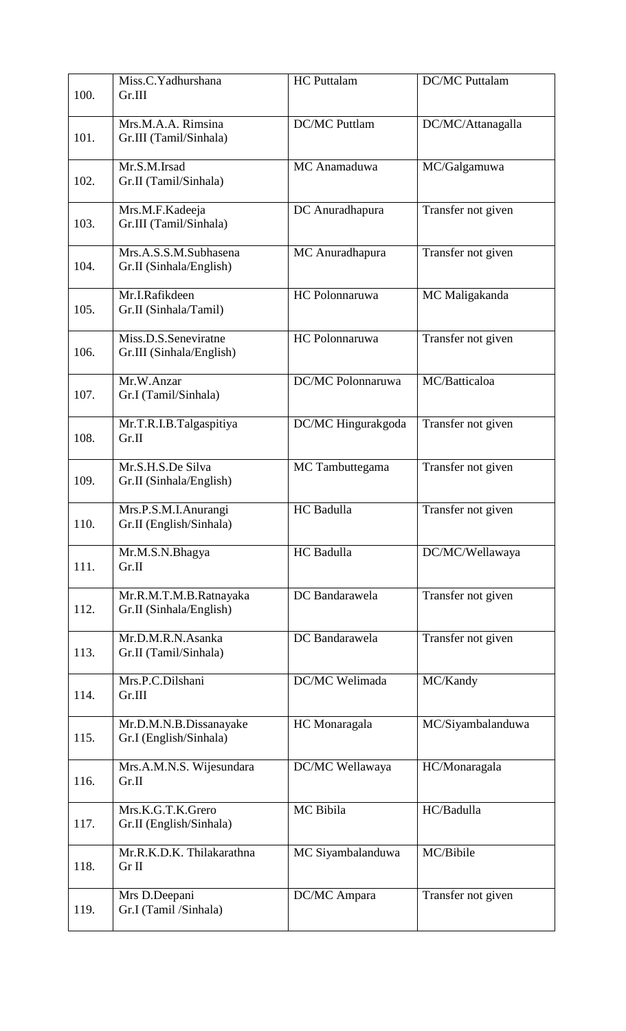| 100. | Miss.C.Yadhurshana<br>Gr.III                      | <b>HC</b> Puttalam   | <b>DC/MC Puttalam</b> |
|------|---------------------------------------------------|----------------------|-----------------------|
| 101. | Mrs.M.A.A. Rimsina<br>Gr.III (Tamil/Sinhala)      | <b>DC/MC Puttlam</b> | DC/MC/Attanagalla     |
| 102. | Mr.S.M.Irsad<br>Gr.II (Tamil/Sinhala)             | MC Anamaduwa         | MC/Galgamuwa          |
| 103. | Mrs.M.F.Kadeeja<br>Gr.III (Tamil/Sinhala)         | DC Anuradhapura      | Transfer not given    |
| 104. | Mrs.A.S.S.M.Subhasena<br>Gr.II (Sinhala/English)  | MC Anuradhapura      | Transfer not given    |
| 105. | Mr.I.Rafikdeen<br>Gr.II (Sinhala/Tamil)           | HC Polonnaruwa       | MC Maligakanda        |
| 106. | Miss.D.S.Seneviratne<br>Gr.III (Sinhala/English)  | HC Polonnaruwa       | Transfer not given    |
| 107. | Mr.W.Anzar<br>Gr.I (Tamil/Sinhala)                | DC/MC Polonnaruwa    | MC/Batticaloa         |
| 108. | Mr.T.R.I.B.Talgaspitiya<br>Gr.II                  | DC/MC Hingurakgoda   | Transfer not given    |
| 109. | Mr.S.H.S.De Silva<br>Gr.II (Sinhala/English)      | MC Tambuttegama      | Transfer not given    |
| 110. | Mrs.P.S.M.I.Anurangi<br>Gr.II (English/Sinhala)   | HC Badulla           | Transfer not given    |
| 111. | Mr.M.S.N.Bhagya<br>Gr.II                          | HC Badulla           | DC/MC/Wellawaya       |
| 112. | Mr.R.M.T.M.B.Ratnayaka<br>Gr.II (Sinhala/English) | DC Bandarawela       | Transfer not given    |
| 113. | Mr.D.M.R.N.Asanka<br>Gr.II (Tamil/Sinhala)        | DC Bandarawela       | Transfer not given    |
| 114. | Mrs.P.C.Dilshani<br>Gr.III                        | DC/MC Welimada       | MC/Kandy              |
| 115. | Mr.D.M.N.B.Dissanayake<br>Gr.I (English/Sinhala)  | HC Monaragala        | MC/Siyambalanduwa     |
| 116. | Mrs.A.M.N.S. Wijesundara<br>Gr.II                 | DC/MC Wellawaya      | HC/Monaragala         |
| 117. | Mrs.K.G.T.K.Grero<br>Gr.II (English/Sinhala)      | MC Bibila            | HC/Badulla            |
| 118. | Mr.R.K.D.K. Thilakarathna<br>Gr II                | MC Siyambalanduwa    | MC/Bibile             |
| 119. | Mrs D.Deepani<br>Gr.I (Tamil /Sinhala)            | DC/MC Ampara         | Transfer not given    |